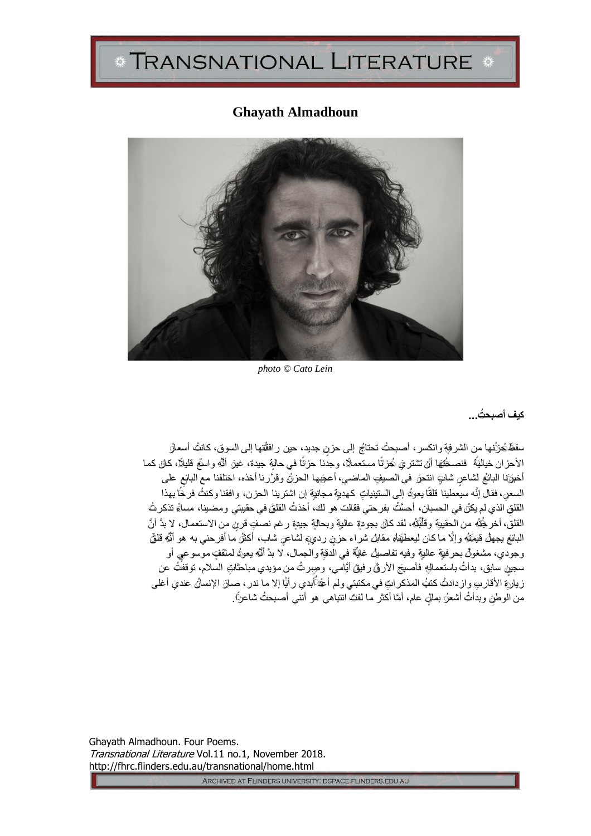# **TRANSNATIONAL LITERATURE**

# **Ghayath Almadhoun**



*photo © Cato Lein*

**كیف أصبح ُت...**

سقظَكُورْنَـها من الشر فةِ وانكسر ، أصبحتُ تحتاجُ إلى حزينٍ جديد، حين رافقُتَها إلى السوق، كانتُ أسعارُ الأحزان خياليَّة فنصخُفَها أَنْ تشتر يَ يُعزِثَا مستعملاً، وجدَنا حزنًا في حالة جيدة، غيرَ أنَّه واسمٌ قليلًا، كانَ كما أخبرَيَّهَا البائُيم لشاعرٍ شاتٍ انتحرَ في الصيفِ الماضي، أعجَبها الحزنُ وقرَّرنا أخذه، اختلفنا مع البائعِ على السعرِِ، فقال إنَّه سيعطينا قلقًا يعونُ إلى الستينياتِ كهديةٍ مجانيةٍ إن اشترينا الحزن، وافقنا وكنتُ فرخًا بهذا القلقِ الذي لم يكنْ في الحسبان، أحسَّتْ بفرحتي فقالت هو لك، أخذتُ القلقَ في حقيبتي ومضبنا، مساعً تذكر تُ القلق، أخر جُمُّه من الحقيبةِ وقلَّتُهُ، لقد كانَ بجودةٍ عاليةٍ وبحالةٍ جيدةٍ رغم نصفِ قرنٍ من الاستعمال، لا بدَّ أنَّ البائع بجهلٌ قبعَتُه وإلَّا ماكان ليعطيَنله مقابلٌ شراء حزين ر ديءِ لشاعر شاب، أكثُرُ ما أفرحني به هو أنَّه قلقٌ وجودي، مشغولٌ بحرفيةٍ عاليةٍ وفيه تفاصيلُ غايَّة في الدقةِ والجمال، لا بدَّ أنَّه يعونُ لمثقفٍ موسوعيٍ أو سجينٍ سابق، بدأتُ باستعمالِهِ فأَصبَجَ الأرڤي رفيقَ أَيَّامي، وحِبِرثُ من مؤيدي مباحثاتِ السلام، توقفَتُ عن ز يارةٍ الأقار بِ واز دادتُ كتبُ المذكر ابِّ في مكتبتي ولم أعْثُابدي رايًّا إلا ما ندر ، صـلَ الإنسانُ عندي أغلى من الوطنِ وبدأتُ أشعرُ بمللٍ عام، أمَّا أكثر ما لفتَ انتباهي هو أنني أصبحتُ شاعرًا.

Ghayath Almadhoun. Four Poems. Transnational Literature Vol.11 no.1, November 2018. http://fhrc.flinders.edu.au/transnational/home.html

ARCHIVED AT FLINDERS UNIVERSITY. DSPACE.FLINDERS.EDU.AU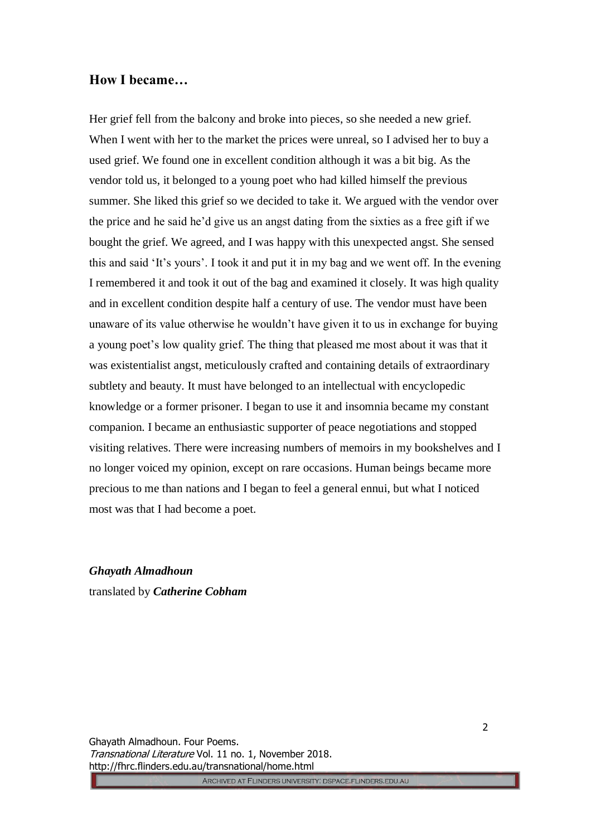# **How I became…**

Her grief fell from the balcony and broke into pieces, so she needed a new grief. When I went with her to the market the prices were unreal, so I advised her to buy a used grief. We found one in excellent condition although it was a bit big. As the vendor told us, it belonged to a young poet who had killed himself the previous summer. She liked this grief so we decided to take it. We argued with the vendor over the price and he said he'd give us an angst dating from the sixties as a free gift if we bought the grief. We agreed, and I was happy with this unexpected angst. She sensed this and said 'It's yours'. I took it and put it in my bag and we went off. In the evening I remembered it and took it out of the bag and examined it closely. It was high quality and in excellent condition despite half a century of use. The vendor must have been unaware of its value otherwise he wouldn't have given it to us in exchange for buying a young poet's low quality grief. The thing that pleased me most about it was that it was existentialist angst, meticulously crafted and containing details of extraordinary subtlety and beauty. It must have belonged to an intellectual with encyclopedic knowledge or a former prisoner. I began to use it and insomnia became my constant companion. I became an enthusiastic supporter of peace negotiations and stopped visiting relatives. There were increasing numbers of memoirs in my bookshelves and I no longer voiced my opinion, except on rare occasions. Human beings became more precious to me than nations and I began to feel a general ennui, but what I noticed most was that I had become a poet.

*Ghayath Almadhoun* translated by *Catherine Cobham*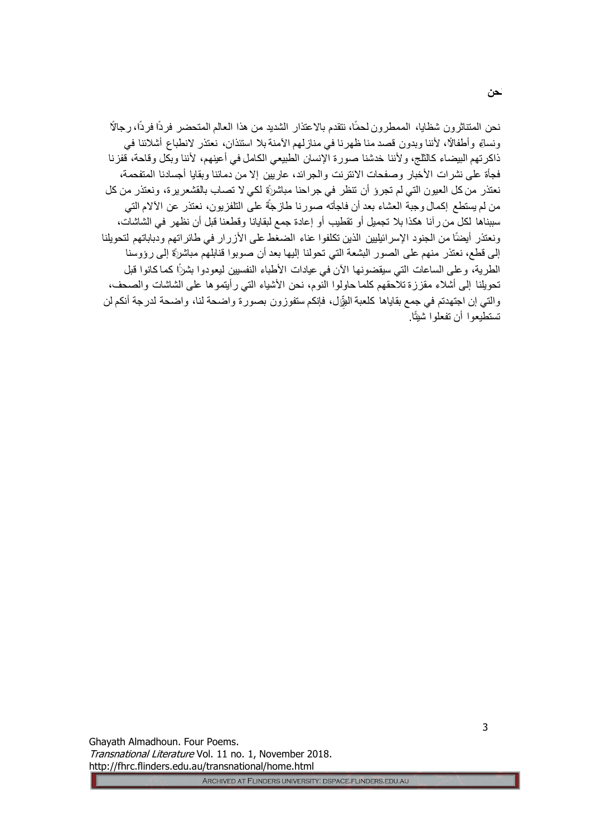حل<br>نحن المتتاثرون شظايا، الممطرون لحثًا، نتقدم بالاعتذار الشديد من هذا العالم المتحضر فردًا فردًا، رجالاً<br>ونسائح وأطفالاً، لأننا وبدون قصد منا ظهرنا في مناز لهم الأمنون من الأمنون المتوافق المتحضر فردًا فرقاء رجالاً<br>فجأة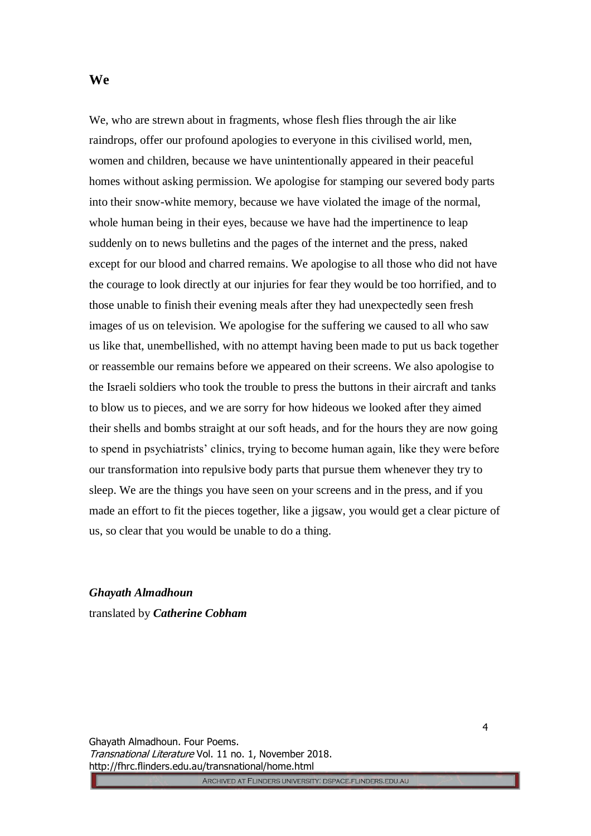### **We**

We, who are strewn about in fragments, whose flesh flies through the air like raindrops, offer our profound apologies to everyone in this civilised world, men, women and children, because we have unintentionally appeared in their peaceful homes without asking permission. We apologise for stamping our severed body parts into their snow-white memory, because we have violated the image of the normal, whole human being in their eyes, because we have had the impertinence to leap suddenly on to news bulletins and the pages of the internet and the press, naked except for our blood and charred remains. We apologise to all those who did not have the courage to look directly at our injuries for fear they would be too horrified, and to those unable to finish their evening meals after they had unexpectedly seen fresh images of us on television. We apologise for the suffering we caused to all who saw us like that, unembellished, with no attempt having been made to put us back together or reassemble our remains before we appeared on their screens. We also apologise to the Israeli soldiers who took the trouble to press the buttons in their aircraft and tanks to blow us to pieces, and we are sorry for how hideous we looked after they aimed their shells and bombs straight at our soft heads, and for the hours they are now going to spend in psychiatrists' clinics, trying to become human again, like they were before our transformation into repulsive body parts that pursue them whenever they try to sleep. We are the things you have seen on your screens and in the press, and if you made an effort to fit the pieces together, like a jigsaw, you would get a clear picture of us, so clear that you would be unable to do a thing.

*Ghayath Almadhoun* translated by *Catherine Cobham*

Ghayath Almadhoun. Four Poems. Transnational Literature Vol. 11 no. 1, November 2018. http://fhrc.flinders.edu.au/transnational/home.html

4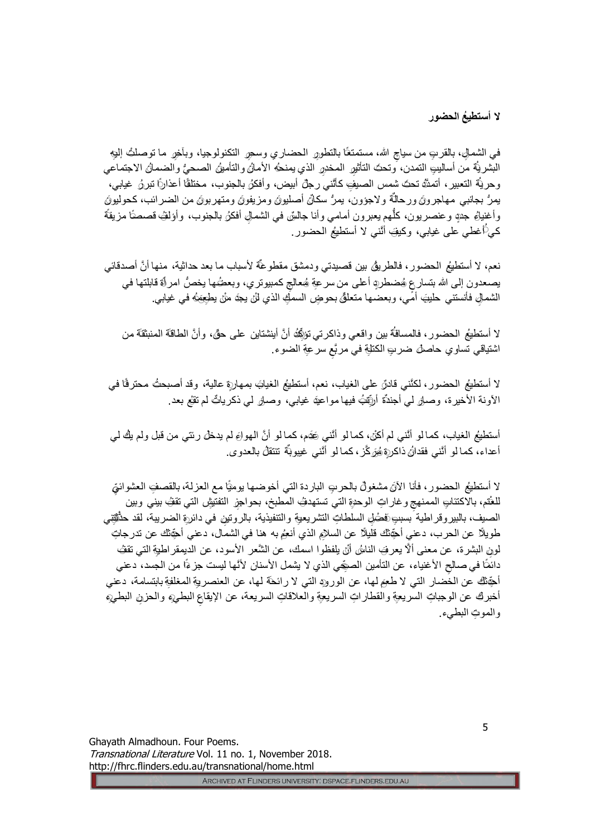لا أستطوع المضور بن التي يتم التي تتم التي تتم التي تتم التي تتم التي تتم التي تتم التي تتم التي تتم التي تتم ا<br>البقرانية من القرن التي توجد التي تتم التي تتم التي تتم التي تتم التي تتم التي تتم التي تتم التي تتم التي تتم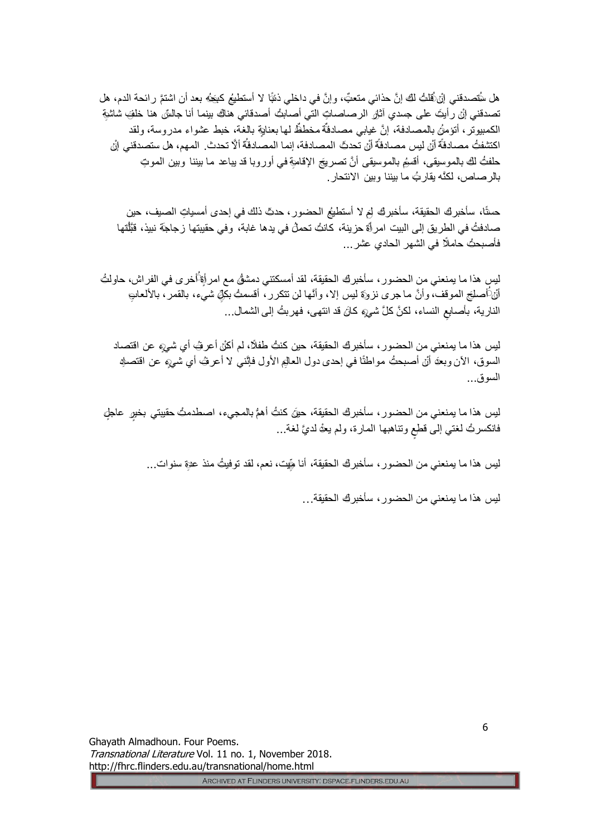هل تشميذتني أن قلتُ له إنَّ هذا أن يتخلفي متعيُّه، وإنَّ في ذاخلي ذيًّا لا أستطيعُ كنيَّهُ بعد أن الشَّمَّ رائحة الدِّمِ هل<br>الكنيسين أن أن أيضاً يتنظيم التي تشريح أثر الأرصاصاب التي أصابتُ أسماقة أصدقاني هذاك بيضاً الما ج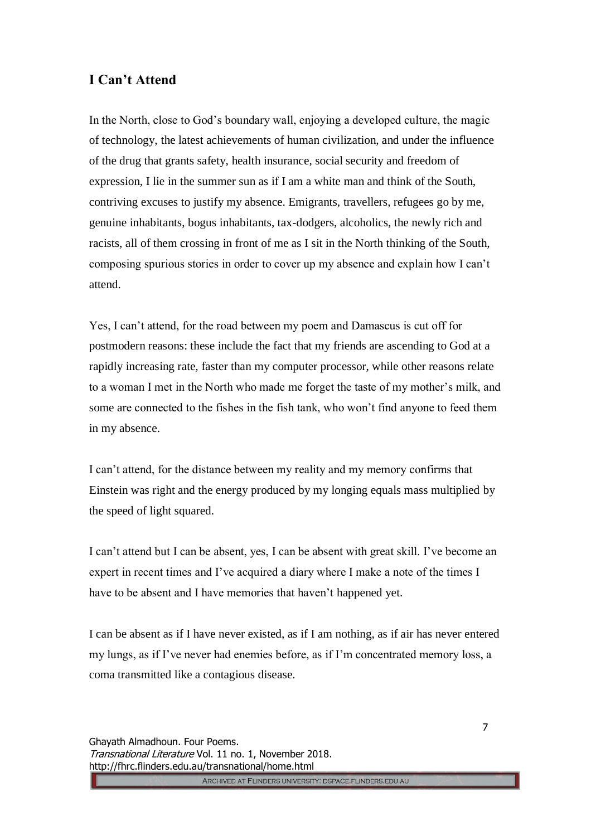# **I Can't Attend**

In the North, close to God's boundary wall, enjoying a developed culture, the magic of technology, the latest achievements of human civilization, and under the influence of the drug that grants safety, health insurance, social security and freedom of expression, I lie in the summer sun as if I am a white man and think of the South, contriving excuses to justify my absence. Emigrants, travellers, refugees go by me, genuine inhabitants, bogus inhabitants, tax-dodgers, alcoholics, the newly rich and racists, all of them crossing in front of me as I sit in the North thinking of the South, composing spurious stories in order to cover up my absence and explain how I can't attend.

Yes, I can't attend, for the road between my poem and Damascus is cut off for postmodern reasons: these include the fact that my friends are ascending to God at a rapidly increasing rate, faster than my computer processor, while other reasons relate to a woman I met in the North who made me forget the taste of my mother's milk, and some are connected to the fishes in the fish tank, who won't find anyone to feed them in my absence.

I can't attend, for the distance between my reality and my memory confirms that Einstein was right and the energy produced by my longing equals mass multiplied by the speed of light squared.

I can't attend but I can be absent, yes, I can be absent with great skill. I've become an expert in recent times and I've acquired a diary where I make a note of the times I have to be absent and I have memories that haven't happened yet.

I can be absent as if I have never existed, as if I am nothing, as if air has never entered my lungs, as if I've never had enemies before, as if I'm concentrated memory loss, a coma transmitted like a contagious disease.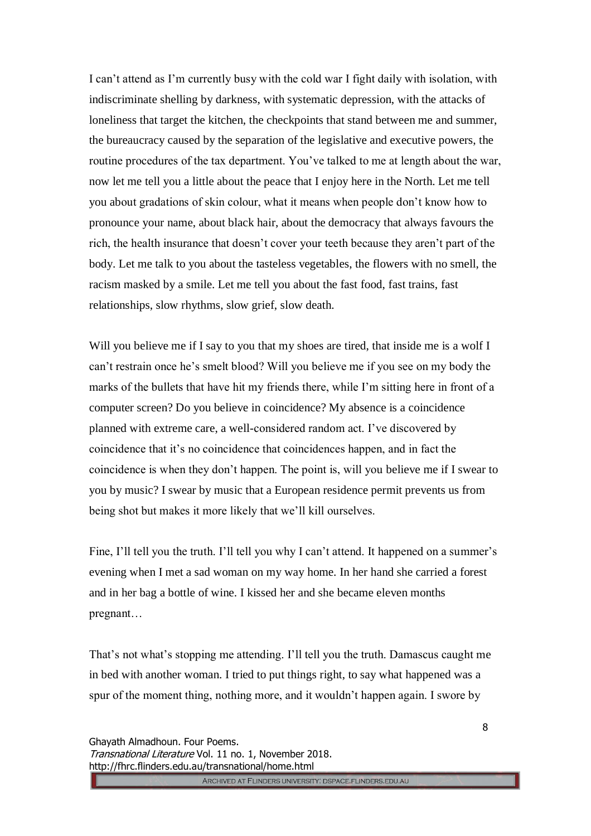I can't attend as I'm currently busy with the cold war I fight daily with isolation, with indiscriminate shelling by darkness, with systematic depression, with the attacks of loneliness that target the kitchen, the checkpoints that stand between me and summer, the bureaucracy caused by the separation of the legislative and executive powers, the routine procedures of the tax department. You've talked to me at length about the war, now let me tell you a little about the peace that I enjoy here in the North. Let me tell you about gradations of skin colour, what it means when people don't know how to pronounce your name, about black hair, about the democracy that always favours the rich, the health insurance that doesn't cover your teeth because they aren't part of the body. Let me talk to you about the tasteless vegetables, the flowers with no smell, the racism masked by a smile. Let me tell you about the fast food, fast trains, fast relationships, slow rhythms, slow grief, slow death.

Will you believe me if I say to you that my shoes are tired, that inside me is a wolf I can't restrain once he's smelt blood? Will you believe me if you see on my body the marks of the bullets that have hit my friends there, while I'm sitting here in front of a computer screen? Do you believe in coincidence? My absence is a coincidence planned with extreme care, a well-considered random act. I've discovered by coincidence that it's no coincidence that coincidences happen, and in fact the coincidence is when they don't happen. The point is, will you believe me if I swear to you by music? I swear by music that a European residence permit prevents us from being shot but makes it more likely that we'll kill ourselves.

Fine, I'll tell you the truth. I'll tell you why I can't attend. It happened on a summer's evening when I met a sad woman on my way home. In her hand she carried a forest and in her bag a bottle of wine. I kissed her and she became eleven months pregnant…

That's not what's stopping me attending. I'll tell you the truth. Damascus caught me in bed with another woman. I tried to put things right, to say what happened was a spur of the moment thing, nothing more, and it wouldn't happen again. I swore by

Transnational Literature Vol. 11 no. 1, November 2018. http://fhrc.flinders.edu.au/transnational/home.html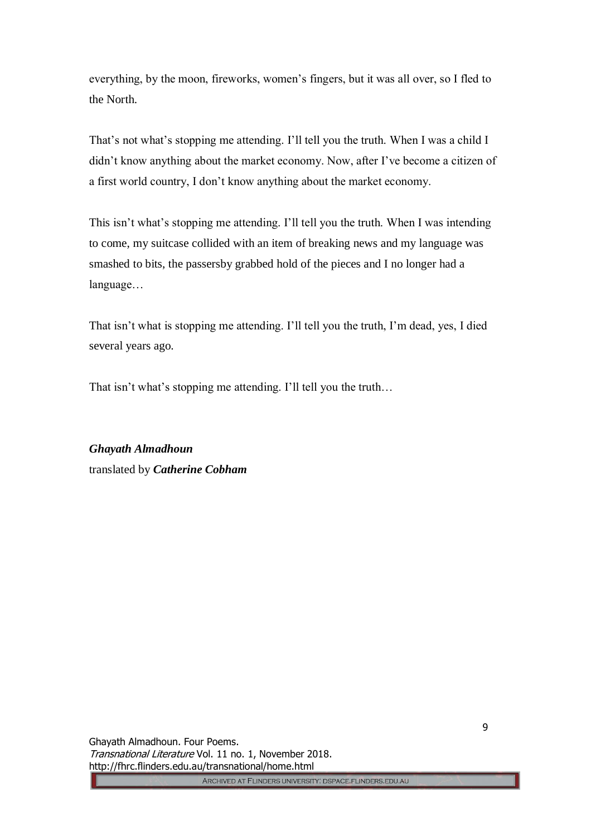everything, by the moon, fireworks, women's fingers, but it was all over, so I fled to the North.

That's not what's stopping me attending. I'll tell you the truth. When I was a child I didn't know anything about the market economy. Now, after I've become a citizen of a first world country, I don't know anything about the market economy.

This isn't what's stopping me attending. I'll tell you the truth. When I was intending to come, my suitcase collided with an item of breaking news and my language was smashed to bits, the passersby grabbed hold of the pieces and I no longer had a language…

That isn't what is stopping me attending. I'll tell you the truth, I'm dead, yes, I died several years ago.

That isn't what's stopping me attending. I'll tell you the truth...

*Ghayath Almadhoun* translated by *Catherine Cobham*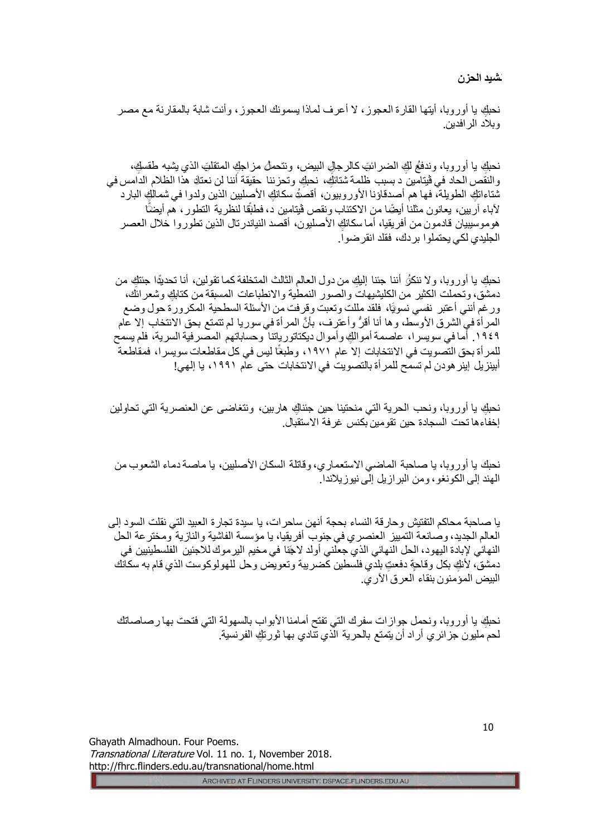نشيد ا**لحزن**<br>نشيك با أوروبا، أيتها القارة العجوز ، لا أعرف لماذا يسمونك العجوز ، وأنت شابة بالمقارنة مع مصر<br>وبلأد الرافدين.<br>والنفص الحاد في فيتأمين د بسبب ظلمة شتائي، نحيك وتحزننا حقيقة أننا لن نعتاق هذا الظلام الدامس في<br>

المرأة في الشرق الأوسط، وها أنا أقرُّ وأعتَّز منه بأنَّ المرأة في سوريا لم تتمتّع بحق الانتخاب إلا عام<br>المرأة في الشرق الإوسط، وها من المالك التي أوسوال الذي تكثير ريالنا وهسابلهم المصدر في النورية، فلم يصدح<br>المرأة بحق ال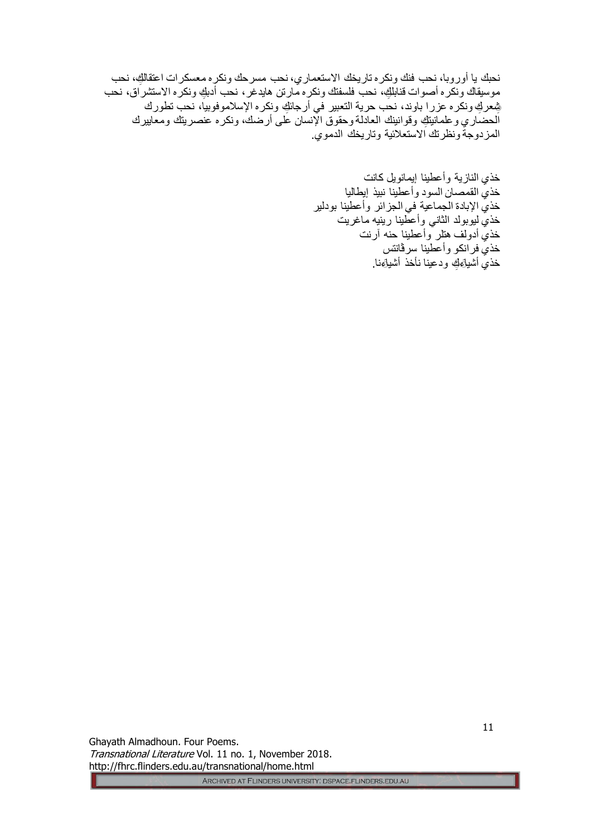نـحلِّك بـا أوروبا، نـحب فظك ونكره تاريخك الاستعماري، نـحب مسرحك ونكره معسكرات اعتقالكٍ، نـحب<br>موسيقاك ونكره عزرا الحديث الحيائي ، نـحب فلسفتك ونكره مارتن هايدغر، نـحب أدبك ونكره الاستثمراق، نـحب<br>شعركِ ونكره عزرا بـاوند، ن

Ghayath Almadhoun. Four Poems . Transnational Literature Vol. 11 no. 1, November 2018. http://fhrc.flinders.edu.au/transnational/home.html

ARCHIVED AT FLINDERS UNIVERSITY: DSPACE.FLINDERS.EDU.AU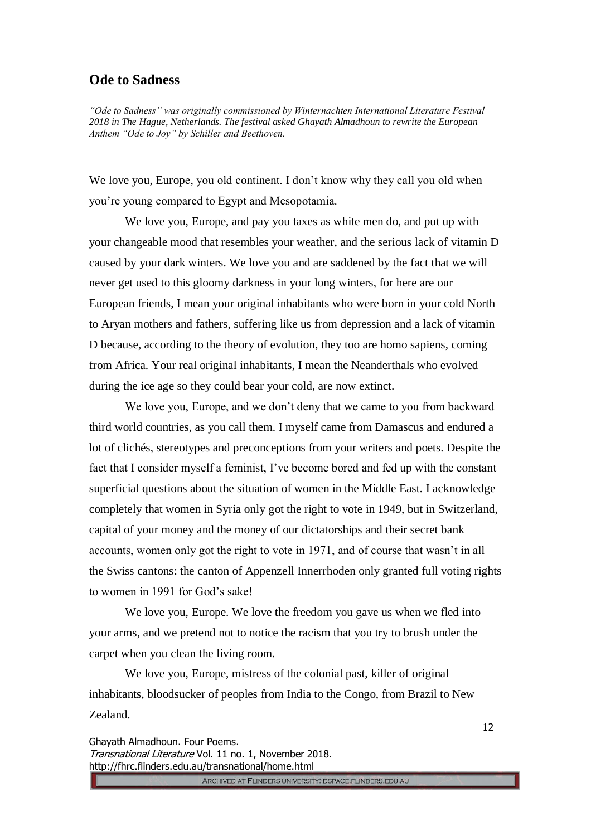# **Ode to Sadness**

*"Ode to Sadness" was originally commissioned by Winternachten International Literature Festival 2018 in The Hague, Netherlands. The festival asked Ghayath Almadhoun to rewrite the European Anthem "Ode to Joy" by Schiller and Beethoven.*

We love you, Europe, you old continent. I don't know why they call you old when you're young compared to Egypt and Mesopotamia.

We love you, Europe, and pay you taxes as white men do, and put up with your changeable mood that resembles your weather, and the serious lack of vitamin D caused by your dark winters. We love you and are saddened by the fact that we will never get used to this gloomy darkness in your long winters, for here are our European friends, I mean your original inhabitants who were born in your cold North to Aryan mothers and fathers, suffering like us from depression and a lack of vitamin D because, according to the theory of evolution, they too are homo sapiens, coming from Africa. Your real original inhabitants, I mean the Neanderthals who evolved during the ice age so they could bear your cold, are now extinct.

We love you, Europe, and we don't deny that we came to you from backward third world countries, as you call them. I myself came from Damascus and endured a lot of clichés, stereotypes and preconceptions from your writers and poets. Despite the fact that I consider myself a feminist, I've become bored and fed up with the constant superficial questions about the situation of women in the Middle East. I acknowledge completely that women in Syria only got the right to vote in 1949, but in Switzerland, capital of your money and the money of our dictatorships and their secret bank accounts, women only got the right to vote in 1971, and of course that wasn't in all the Swiss cantons: the canton of Appenzell Innerrhoden only granted full voting rights to women in 1991 for God's sake!

We love you, Europe. We love the freedom you gave us when we fled into your arms, and we pretend not to notice the racism that you try to brush under the carpet when you clean the living room.

We love you, Europe, mistress of the colonial past, killer of original inhabitants, bloodsucker of peoples from India to the Congo, from Brazil to New Zealand.

Ghayath Almadhoun. Four Poems. Transnational Literature Vol. 11 no. 1, November 2018. http://fhrc.flinders.edu.au/transnational/home.html

12